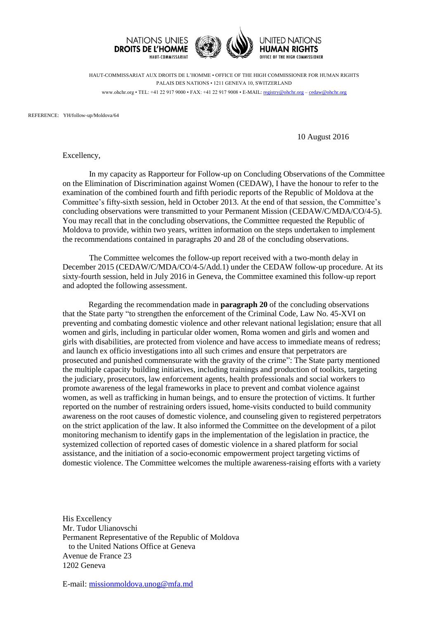

HAUT-COMMISSARIAT AUX DROITS DE L'HOMME • OFFICE OF THE HIGH COMMISSIONER FOR HUMAN RIGHTS PALAIS DES NATIONS • 1211 GENEVA 10, SWITZERLAND www.ohchr.org • TEL: +41 22 917 9000 • FAX: +41 22 917 9008 • E-MAIL: [registry@ohchr.org](mailto:registry@ohchr.org) – [cedaw@ohchr.org](mailto:cedaw@ohchr.org)

REFERENCE: YH/follow-up/Moldova/64

10 August 2016

Excellency,

In my capacity as Rapporteur for Follow-up on Concluding Observations of the Committee on the Elimination of Discrimination against Women (CEDAW), I have the honour to refer to the examination of the combined fourth and fifth periodic reports of the Republic of Moldova at the Committee's fifty-sixth session, held in October 2013. At the end of that session, the Committee's concluding observations were transmitted to your Permanent Mission (CEDAW/C/MDA/CO/4-5). You may recall that in the concluding observations, the Committee requested the Republic of Moldova to provide, within two years, written information on the steps undertaken to implement the recommendations contained in paragraphs 20 and 28 of the concluding observations.

The Committee welcomes the follow-up report received with a two-month delay in December 2015 (CEDAW/C/MDA/CO/4-5/Add.1) under the CEDAW follow-up procedure. At its sixty-fourth session, held in July 2016 in Geneva, the Committee examined this follow-up report and adopted the following assessment.

Regarding the recommendation made in **paragraph 20** of the concluding observations that the State party "to strengthen the enforcement of the Criminal Code, Law No. 45-XVI on preventing and combating domestic violence and other relevant national legislation; ensure that all women and girls, including in particular older women, Roma women and girls and women and girls with disabilities, are protected from violence and have access to immediate means of redress; and launch ex officio investigations into all such crimes and ensure that perpetrators are prosecuted and punished commensurate with the gravity of the crime": The State party mentioned the multiple capacity building initiatives, including trainings and production of toolkits, targeting the judiciary, prosecutors, law enforcement agents, health professionals and social workers to promote awareness of the legal frameworks in place to prevent and combat violence against women, as well as trafficking in human beings, and to ensure the protection of victims. It further reported on the number of restraining orders issued, home-visits conducted to build community awareness on the root causes of domestic violence, and counseling given to registered perpetrators on the strict application of the law. It also informed the Committee on the development of a pilot monitoring mechanism to identify gaps in the implementation of the legislation in practice, the systemized collection of reported cases of domestic violence in a shared platform for social assistance, and the initiation of a socio-economic empowerment project targeting victims of domestic violence. The Committee welcomes the multiple awareness-raising efforts with a variety

His Excellency Mr. Tudor Ulianovschi Permanent Representative of the Republic of Moldova to the United Nations Office at Geneva Avenue de France 23 1202 Geneva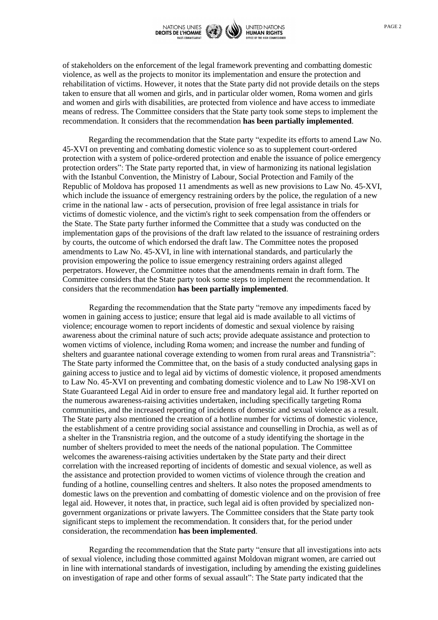

of stakeholders on the enforcement of the legal framework preventing and combatting domestic violence, as well as the projects to monitor its implementation and ensure the protection and rehabilitation of victims. However, it notes that the State party did not provide details on the steps taken to ensure that all women and girls, and in particular older women, Roma women and girls and women and girls with disabilities, are protected from violence and have access to immediate means of redress. The Committee considers that the State party took some steps to implement the recommendation. It considers that the recommendation **has been partially implemented**.

Regarding the recommendation that the State party "expedite its efforts to amend Law No. 45-XVI on preventing and combating domestic violence so as to supplement court-ordered protection with a system of police-ordered protection and enable the issuance of police emergency protection orders": The State party reported that, in view of harmonizing its national legislation with the Istanbul Convention, the Ministry of Labour, Social Protection and Family of the Republic of Moldova has proposed 11 amendments as well as new provisions to Law No. 45-XVI, which include the issuance of emergency restraining orders by the police, the regulation of a new crime in the national law - acts of persecution, provision of free legal assistance in trials for victims of domestic violence, and the victim's right to seek compensation from the offenders or the State. The State party further informed the Committee that a study was conducted on the implementation gaps of the provisions of the draft law related to the issuance of restraining orders by courts, the outcome of which endorsed the draft law. The Committee notes the proposed amendments to Law No. 45-XVI, in line with international standards, and particularly the provision empowering the police to issue emergency restraining orders against alleged perpetrators. However, the Committee notes that the amendments remain in draft form. The Committee considers that the State party took some steps to implement the recommendation. It considers that the recommendation **has been partially implemented**.

Regarding the recommendation that the State party "remove any impediments faced by women in gaining access to justice; ensure that legal aid is made available to all victims of violence; encourage women to report incidents of domestic and sexual violence by raising awareness about the criminal nature of such acts; provide adequate assistance and protection to women victims of violence, including Roma women; and increase the number and funding of shelters and guarantee national coverage extending to women from rural areas and Transnistria": The State party informed the Committee that, on the basis of a study conducted analysing gaps in gaining access to justice and to legal aid by victims of domestic violence, it proposed amendments to Law No. 45-XVI on preventing and combating domestic violence and to Law No 198-XVI on State Guaranteed Legal Aid in order to ensure free and mandatory legal aid. It further reported on the numerous awareness-raising activities undertaken, including specifically targeting Roma communities, and the increased reporting of incidents of domestic and sexual violence as a result. The State party also mentioned the creation of a hotline number for victims of domestic violence, the establishment of a centre providing social assistance and counselling in Drochia, as well as of a shelter in the Transnistria region, and the outcome of a study identifying the shortage in the number of shelters provided to meet the needs of the national population. The Committee welcomes the awareness-raising activities undertaken by the State party and their direct correlation with the increased reporting of incidents of domestic and sexual violence, as well as the assistance and protection provided to women victims of violence through the creation and funding of a hotline, counselling centres and shelters. It also notes the proposed amendments to domestic laws on the prevention and combatting of domestic violence and on the provision of free legal aid. However, it notes that, in practice, such legal aid is often provided by specialized nongovernment organizations or private lawyers. The Committee considers that the State party took significant steps to implement the recommendation. It considers that, for the period under consideration, the recommendation **has been implemented**.

Regarding the recommendation that the State party "ensure that all investigations into acts of sexual violence, including those committed against Moldovan migrant women, are carried out in line with international standards of investigation, including by amending the existing guidelines on investigation of rape and other forms of sexual assault": The State party indicated that the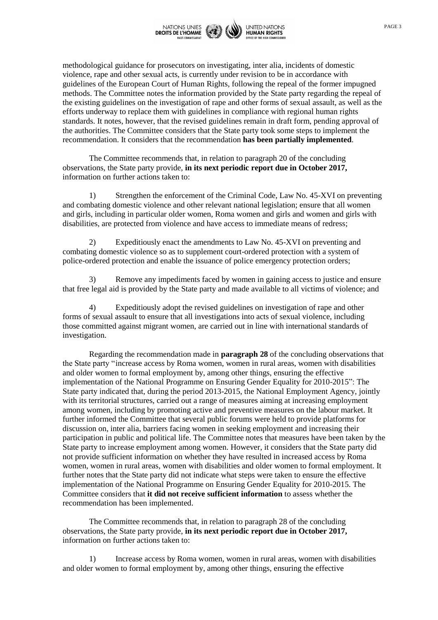

methodological guidance for prosecutors on investigating, inter alia, incidents of domestic violence, rape and other sexual acts, is currently under revision to be in accordance with guidelines of the European Court of Human Rights, following the repeal of the former impugned methods. The Committee notes the information provided by the State party regarding the repeal of the existing guidelines on the investigation of rape and other forms of sexual assault, as well as the efforts underway to replace them with guidelines in compliance with regional human rights standards. It notes, however, that the revised guidelines remain in draft form, pending approval of the authorities. The Committee considers that the State party took some steps to implement the recommendation. It considers that the recommendation **has been partially implemented**.

The Committee recommends that, in relation to paragraph 20 of the concluding observations, the State party provide, **in its next periodic report due in October 2017,** information on further actions taken to:

1) Strengthen the enforcement of the Criminal Code, Law No. 45-XVI on preventing and combating domestic violence and other relevant national legislation; ensure that all women and girls, including in particular older women, Roma women and girls and women and girls with disabilities, are protected from violence and have access to immediate means of redress;

2) Expeditiously enact the amendments to Law No. 45-XVI on preventing and combating domestic violence so as to supplement court-ordered protection with a system of police-ordered protection and enable the issuance of police emergency protection orders;

3) Remove any impediments faced by women in gaining access to justice and ensure that free legal aid is provided by the State party and made available to all victims of violence; and

4) Expeditiously adopt the revised guidelines on investigation of rape and other forms of sexual assault to ensure that all investigations into acts of sexual violence, including those committed against migrant women, are carried out in line with international standards of investigation.

Regarding the recommendation made in **paragraph 28** of the concluding observations that the State party "increase access by Roma women, women in rural areas, women with disabilities and older women to formal employment by, among other things, ensuring the effective implementation of the National Programme on Ensuring Gender Equality for 2010-2015": The State party indicated that, during the period 2013-2015, the National Employment Agency, jointly with its territorial structures, carried out a range of measures aiming at increasing employment among women, including by promoting active and preventive measures on the labour market. It further informed the Committee that several public forums were held to provide platforms for discussion on, inter alia, barriers facing women in seeking employment and increasing their participation in public and political life. The Committee notes that measures have been taken by the State party to increase employment among women. However, it considers that the State party did not provide sufficient information on whether they have resulted in increased access by Roma women, women in rural areas, women with disabilities and older women to formal employment. It further notes that the State party did not indicate what steps were taken to ensure the effective implementation of the National Programme on Ensuring Gender Equality for 2010-2015. The Committee considers that **it did not receive sufficient information** to assess whether the recommendation has been implemented.

The Committee recommends that, in relation to paragraph 28 of the concluding observations, the State party provide, **in its next periodic report due in October 2017,** information on further actions taken to:

1) Increase access by Roma women, women in rural areas, women with disabilities and older women to formal employment by, among other things, ensuring the effective